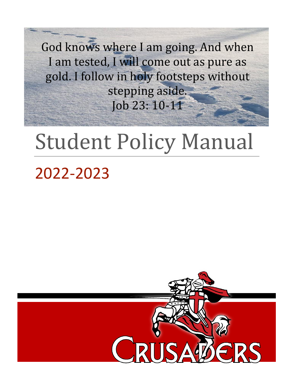God knows where I am going. And when I am tested, I will come out as pure as gold. I follow in holy footsteps without stepping aside. Job 23: 10-11

# Student Policy Manual

## 2022-2023

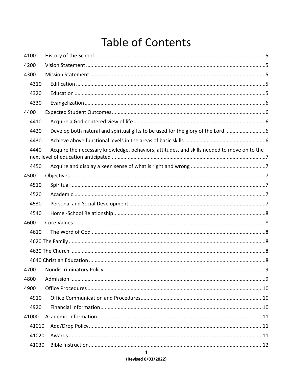## **Table of Contents**

| 4100  |                                                                                            |  |
|-------|--------------------------------------------------------------------------------------------|--|
| 4200  |                                                                                            |  |
| 4300  |                                                                                            |  |
| 4310  |                                                                                            |  |
| 4320  |                                                                                            |  |
| 4330  |                                                                                            |  |
| 4400  |                                                                                            |  |
| 4410  |                                                                                            |  |
| 4420  | Develop both natural and spiritual gifts to be used for the glory of the Lord              |  |
| 4430  |                                                                                            |  |
| 4440  | Acquire the necessary knowledge, behaviors, attitudes, and skills needed to move on to the |  |
| 4450  |                                                                                            |  |
| 4500  |                                                                                            |  |
| 4510  |                                                                                            |  |
| 4520  |                                                                                            |  |
| 4530  |                                                                                            |  |
| 4540  |                                                                                            |  |
| 4600  |                                                                                            |  |
| 4610  |                                                                                            |  |
|       |                                                                                            |  |
|       |                                                                                            |  |
|       |                                                                                            |  |
| 4700  |                                                                                            |  |
| 4800  |                                                                                            |  |
| 4900  |                                                                                            |  |
| 4910  |                                                                                            |  |
| 4920  |                                                                                            |  |
| 41000 |                                                                                            |  |
| 41010 |                                                                                            |  |
| 41020 |                                                                                            |  |
| 41030 |                                                                                            |  |
|       | 1                                                                                          |  |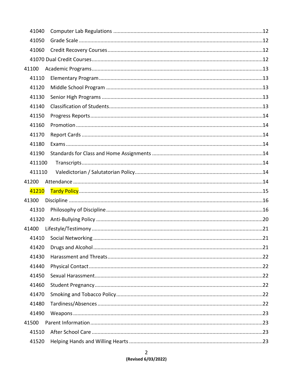| 41040  |  |
|--------|--|
| 41050  |  |
| 41060  |  |
|        |  |
| 41100  |  |
| 41110  |  |
| 41120  |  |
| 41130  |  |
| 41140  |  |
| 41150  |  |
| 41160  |  |
| 41170  |  |
| 41180  |  |
| 41190  |  |
| 411100 |  |
| 411110 |  |
| 41200  |  |
| 41210  |  |
| 41300  |  |
| 41310  |  |
| 41320  |  |
| 41400  |  |
| 41410  |  |
| 41420  |  |
| 41430  |  |
| 41440  |  |
| 41450  |  |
| 41460  |  |
| 41470  |  |
| 41480  |  |
| 41490  |  |
| 41500  |  |
| 41510  |  |
| 41520  |  |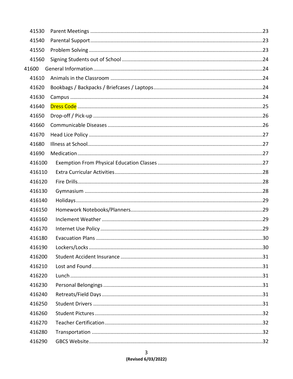| 41530  |  |
|--------|--|
| 41540  |  |
| 41550  |  |
| 41560  |  |
| 41600  |  |
| 41610  |  |
| 41620  |  |
| 41630  |  |
| 41640  |  |
| 41650  |  |
| 41660  |  |
| 41670  |  |
| 41680  |  |
| 41690  |  |
| 416100 |  |
| 416110 |  |
| 416120 |  |
| 416130 |  |
| 416140 |  |
| 416150 |  |
| 416160 |  |
| 416170 |  |
| 416180 |  |
| 416190 |  |
| 416200 |  |
| 416210 |  |
| 416220 |  |
| 416230 |  |
| 416240 |  |
| 416250 |  |
| 416260 |  |
| 416270 |  |
| 416280 |  |
| 416290 |  |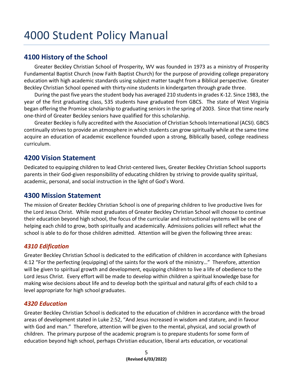### <span id="page-5-0"></span>**4100 History of the School**

Greater Beckley Christian School of Prosperity, WV was founded in 1973 as a ministry of Prosperity Fundamental Baptist Church (now Faith Baptist Church) for the purpose of providing college preparatory education with high academic standards using subject matter taught from a Biblical perspective. Greater Beckley Christian School opened with thirty-nine students in kindergarten through grade three.

During the past five years the student body has averaged 210 students in grades K-12. Since 1983, the year of the first graduating class, 535 students have graduated from GBCS. The state of West Virginia began offering the Promise scholarship to graduating seniors in the spring of 2003. Since that time nearly one-third of Greater Beckley seniors have qualified for this scholarship.

Greater Beckley is fully accredited with the Association of Christian Schools International (ACSI). GBCS continually strives to provide an atmosphere in which students can grow spiritually while at the same time acquire an education of academic excellence founded upon a strong, Biblically based, college readiness curriculum.

### <span id="page-5-1"></span>**4200 Vision Statement**

Dedicated to equipping children to lead Christ-centered lives, Greater Beckley Christian School supports parents in their God-given responsibility of educating children by striving to provide quality spiritual, academic, personal, and social instruction in the light of God's Word.

### <span id="page-5-2"></span>**4300 Mission Statement**

The mission of Greater Beckley Christian School is one of preparing children to live productive lives for the Lord Jesus Christ. While most graduates of Greater Beckley Christian School will choose to continue their education beyond high school, the focus of the curricular and instructional systems will be one of helping each child to grow, both spiritually and academically. Admissions policies will reflect what the school is able to do for those children admitted. Attention will be given the following three areas:

### <span id="page-5-3"></span>*4310 Edification*

Greater Beckley Christian School is dedicated to the edification of children in accordance with Ephesians 4:12 "For the perfecting (equipping) of the saints for the work of the ministry…" Therefore, attention will be given to spiritual growth and development, equipping children to live a life of obedience to the Lord Jesus Christ. Every effort will be made to develop within children a spiritual knowledge base for making wise decisions about life and to develop both the spiritual and natural gifts of each child to a level appropriate for high school graduates.

### <span id="page-5-4"></span>*4320 Education*

Greater Beckley Christian School is dedicated to the education of children in accordance with the broad areas of development stated in Luke 2:52, "And Jesus increased in wisdom and stature, and in favour with God and man." Therefore, attention will be given to the mental, physical, and social growth of children. The primary purpose of the academic program is to prepare students for some form of education beyond high school, perhaps Christian education, liberal arts education, or vocational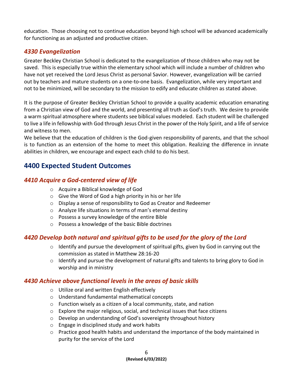education. Those choosing not to continue education beyond high school will be advanced academically for functioning as an adjusted and productive citizen.

### <span id="page-6-0"></span>*4330 Evangelization*

Greater Beckley Christian School is dedicated to the evangelization of those children who may not be saved. This is especially true within the elementary school which will include a number of children who have not yet received the Lord Jesus Christ as personal Savior. However, evangelization will be carried out by teachers and mature students on a one-to-one basis. Evangelization, while very important and not to be minimized, will be secondary to the mission to edify and educate children as stated above.

It is the purpose of Greater Beckley Christian School to provide a quality academic education emanating from a Christian view of God and the world, and presenting all truth as God's truth. We desire to provide a warm spiritual atmosphere where students see biblical values modeled. Each student will be challenged to live a life in fellowship with God through Jesus Christ in the power of the Holy Spirit, and a life of service and witness to men.

We believe that the education of children is the God-given responsibility of parents, and that the school is to function as an extension of the home to meet this obligation. Realizing the difference in innate abilities in children, we encourage and expect each child to do his best.

### <span id="page-6-1"></span>**4400 Expected Student Outcomes**

### <span id="page-6-2"></span>*4410 Acquire a God-centered view of life*

- o Acquire a Biblical knowledge of God
- $\circ$  Give the Word of God a high priority in his or her life
- o Display a sense of responsibility to God as Creator and Redeemer
- o Analyze life situations in terms of man's eternal destiny
- o Possess a survey knowledge of the entire Bible
- <span id="page-6-3"></span>o Possess a knowledge of the basic Bible doctrines

### *4420 Develop both natural and spiritual gifts to be used for the glory of the Lord*

- $\circ$  Identify and pursue the development of spiritual gifts, given by God in carrying out the commission as stated in Matthew 28:16-20
- o Identify and pursue the development of natural gifts and talents to bring glory to God in worship and in ministry

### <span id="page-6-4"></span>*4430 Achieve above functional levels in the areas of basic skills*

- o Utilize oral and written English effectively
- o Understand fundamental mathematical concepts
- o Function wisely as a citizen of a local community, state, and nation
- o Explore the major religious, social, and technical issues that face citizens
- o Develop an understanding of God's sovereignty throughout history
- o Engage in disciplined study and work habits
- $\circ$  Practice good health habits and understand the importance of the body maintained in purity for the service of the Lord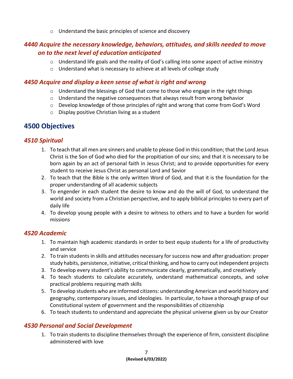<span id="page-7-0"></span>o Understand the basic principles of science and discovery

### *4440 Acquire the necessary knowledge, behaviors, attitudes, and skills needed to move on to the next level of education anticipated*

- $\circ$  Understand life goals and the reality of God's calling into some aspect of active ministry
- <span id="page-7-1"></span>o Understand what is necessary to achieve at all levels of college study

### *4450 Acquire and display a keen sense of what is right and wrong*

- $\circ$  Understand the blessings of God that come to those who engage in the right things
- $\circ$  Understand the negative consequences that always result from wrong behavior
- o Develop knowledge of those principles of right and wrong that come from God's Word
- o Display positive Christian living as a student

### <span id="page-7-2"></span>**4500 Objectives**

### *4510 Spiritual*

- <span id="page-7-3"></span>1. To teach that all men are sinners and unable to please God in this condition; that the Lord Jesus Christ is the Son of God who died for the propitiation of our sins; and that it is necessary to be born again by an act of personal faith in Jesus Christ; and to provide opportunities for every student to receive Jesus Christ as personal Lord and Savior
- 2. To teach that the Bible is the only written Word of God, and that it is the foundation for the proper understanding of all academic subjects
- 3. To engender in each student the desire to know and do the will of God, to understand the world and society from a Christian perspective, and to apply biblical principles to every part of daily life
- <span id="page-7-4"></span>4. To develop young people with a desire to witness to others and to have a burden for world missions

### *4520 Academic*

- 1. To maintain high academic standards in order to best equip students for a life of productivity and service
- 2. To train students in skills and attitudes necessary for success now and after graduation: proper study habits, persistence, initiative, critical thinking, and how to carry out independent projects
- 3. To develop every student's ability to communicate clearly, grammatically, and creatively
- 4. To teach students to calculate accurately, understand mathematical concepts, and solve practical problems requiring math skills
- 5. To develop students who are informed citizens: understanding American and world history and geography, contemporary issues, and ideologies. In particular, to have a thorough grasp of our Constitutional system of government and the responsibilities of citizenship
- <span id="page-7-5"></span>6. To teach students to understand and appreciate the physical universe given us by our Creator

### *4530 Personal and Social Development*

1. To train students to discipline themselves through the experience of firm, consistent discipline administered with love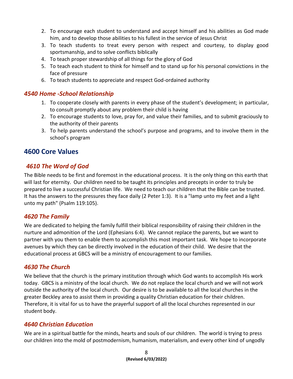- 2. To encourage each student to understand and accept himself and his abilities as God made him, and to develop those abilities to his fullest in the service of Jesus Christ
- 3. To teach students to treat every person with respect and courtesy, to display good sportsmanship, and to solve conflicts biblically
- 4. To teach proper stewardship of all things for the glory of God
- 5. To teach each student to think for himself and to stand up for his personal convictions in the face of pressure
- <span id="page-8-0"></span>6. To teach students to appreciate and respect God-ordained authority

### *4540 Home -School Relationship*

- 1. To cooperate closely with parents in every phase of the student's development; in particular, to consult promptly about any problem their child is having
- 2. To encourage students to love, pray for, and value their families, and to submit graciously to the authority of their parents
- 3. To help parents understand the school's purpose and programs, and to involve them in the school's program

### <span id="page-8-1"></span>**4600 Core Values**

### <span id="page-8-2"></span>*4610 The Word of God*

The Bible needs to be first and foremost in the educational process. It is the only thing on this earth that will last for eternity. Our children need to be taught its principles and precepts in order to truly be prepared to live a successful Christian life. We need to teach our children that the Bible can be trusted. It has the answers to the pressures they face daily (2 Peter 1:3). It is a "lamp unto my feet and a light unto my path" (Psalm 119:105).

### <span id="page-8-3"></span>*4620 The Family*

We are dedicated to helping the family fulfill their biblical responsibility of raising their children in the nurture and admonition of the Lord (Ephesians 6:4). We cannot replace the parents, but we want to partner with you them to enable them to accomplish this most important task. We hope to incorporate avenues by which they can be directly involved in the education of their child. We desire that the educational process at GBCS will be a ministry of encouragement to our families.

### <span id="page-8-4"></span>*4630 The Church*

We believe that the church is the primary institution through which God wants to accomplish His work today. GBCS is a ministry of the local church. We do not replace the local church and we will not work outside the authority of the local church. Our desire is to be available to all the local churches in the greater Beckley area to assist them in providing a quality Christian education for their children. Therefore, it is vital for us to have the prayerful support of all the local churches represented in our student body.

### <span id="page-8-5"></span>*4640 Christian Education*

We are in a spiritual battle for the minds, hearts and souls of our children. The world is trying to press our children into the mold of postmodernism, humanism, materialism, and every other kind of ungodly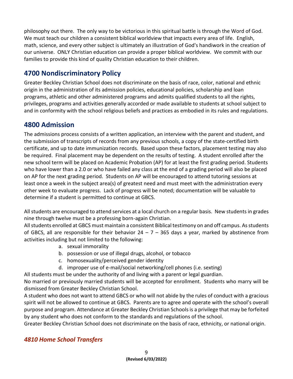philosophy out there. The only way to be victorious in this spiritual battle is through the Word of God. We must teach our children a consistent biblical worldview that impacts every area of life. English, math, science, and every other subject is ultimately an illustration of God's handiwork in the creation of our universe. ONLY Christian education can provide a proper biblical worldview. We commit with our families to provide this kind of quality Christian education to their children.

### <span id="page-9-0"></span>**4700 Nondiscriminatory Policy**

Greater Beckley Christian School does not discriminate on the basis of race, color, national and ethnic origin in the administration of its admission policies, educational policies, scholarship and loan programs, athletic and other administered programs and admits qualified students to all the rights, privileges, programs and activities generally accorded or made available to students at school subject to and in conformity with the school religious beliefs and practices as embodied in its rules and regulations.

### <span id="page-9-1"></span>**4800 Admission**

The admissions process consists of a written application, an interview with the parent and student, and the submission of transcripts of records from any previous schools, a copy of the state-certified birth certificate, and up to date immunization records. Based upon these factors, placement testing may also be required. Final placement may be dependent on the results of testing. A student enrolled after the new school term will be placed on Academic Probation (AP) for at least the first grading period. Students who have lower than a 2.0 or who have failed any class at the end of a grading period will also be placed on AP for the next grading period. Students on AP will be encouraged to attend tutoring sessions at least once a week in the subject area(s) of greatest need and must meet with the administration every other week to evaluate progress. Lack of progress will be noted; documentation will be valuable to determine if a student is permitted to continue at GBCS.

All students are encouraged to attend services at a local church on a regular basis. New students in grades nine through twelve must be a professing born-again Christian.

All students enrolled at GBCS must maintain a consistent Biblical testimony on and off campus. As students of GBCS, all are responsible for their behavior  $24 - 7 - 365$  days a year, marked by abstinence from activities including but not limited to the following:

- a. sexual immorality
- b. possession or use of illegal drugs, alcohol, or tobacco
- c. homosexuality/perceived gender identity
- d. improper use of e-mail/social networking/cell phones (i.e. sexting)
- All students must be under the authority of and living with a parent or legal guardian.

No married or previously married students will be accepted for enrollment. Students who marry will be dismissed from Greater Beckley Christian School.

A student who does not want to attend GBCS or who will not abide by the rules of conduct with a gracious spirit will not be allowed to continue at GBCS. Parents are to agree and operate with the school's overall purpose and program. Attendance at Greater Beckley Christian Schools is a privilege that may be forfeited by any student who does not conform to the standards and regulations of the school.

Greater Beckley Christian School does not discriminate on the basis of race, ethnicity, or national origin.

### *4810 Home School Transfers*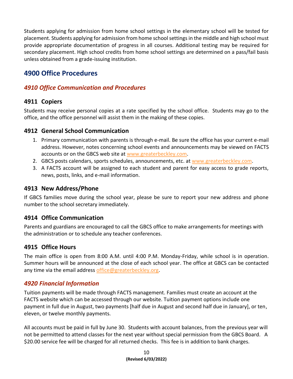Students applying for admission from home school settings in the elementary school will be tested for placement. Students applying for admission from home school settings in the middle and high school must provide appropriate documentation of progress in all courses. Additional testing may be required for secondary placement. High school credits from home school settings are determined on a pass/fail basis unless obtained from a grade-issuing institution.

### <span id="page-10-0"></span>**4900 Office Procedures**

### <span id="page-10-1"></span>*4910 Office Communication and Procedures*

### **4911 Copiers**

Students may receive personal copies at a rate specified by the school office. Students may go to the office, and the office personnel will assist them in the making of these copies.

### **4912 General School Communication**

- 1. Primary communication with parents is through e-mail. Be sure the office has your current e-mail address. However, notes concerning school events and announcements may be viewed on FACTS accounts or on the GBCS web site at [www.greaterbeckley.com.](http://www.greaterbeckley.com/)
- 2. GBCS posts calendars, sports schedules, announcements, etc. at [www.greaterbeckley.com.](http://www.greaterbeckley.com/)
- 3. A FACTS account will be assigned to each student and parent for easy access to grade reports, news, posts, links, and e-mail information.

#### **4913 New Address/Phone**

If GBCS families move during the school year, please be sure to report your new address and phone number to the school secretary immediately.

### **4914 Office Communication**

Parents and guardians are encouraged to call the GBCS office to make arrangements for meetings with the administration or to schedule any teacher conferences.

### **4915 Office Hours**

The main office is open from 8:00 A.M. until 4:00 P.M. Monday-Friday, while school is in operation. Summer hours will be announced at the close of each school year. The office at GBCS can be contacted any time via the email address [office@greaterbeckley.org.](mailto:office@greaterbeckley.org)

### <span id="page-10-2"></span>*4920 Financial Information*

Tuition payments will be made through FACTS management. Families must create an account at the FACTS website which can be accessed through our website. Tuition payment options include one payment in full due in August, two payments [half due in August and second half due in January], or ten, eleven, or twelve monthly payments.

All accounts must be paid in full by June 30. Students with account balances, from the previous year will not be permitted to attend classes for the next year without special permission from the GBCS Board. A \$20.00 service fee will be charged for all returned checks. This fee is in addition to bank charges.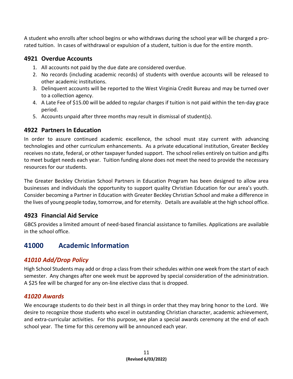A student who enrolls after school begins or who withdraws during the school year will be charged a prorated tuition. In cases of withdrawal or expulsion of a student, tuition is due for the entire month.

### **4921 Overdue Accounts**

- 1. All accounts not paid by the due date are considered overdue.
- 2. No records (including academic records) of students with overdue accounts will be released to other academic institutions.
- 3. Delinquent accounts will be reported to the West Virginia Credit Bureau and may be turned over to a collection agency.
- 4. A Late Fee of \$15.00 will be added to regular charges if tuition is not paid within the ten-day grace period.
- 5. Accounts unpaid after three months may result in dismissal of student(s).

### **4922 Partners In Education**

In order to assure continued academic excellence, the school must stay current with advancing technologies and other curriculum enhancements. As a private educational institution, Greater Beckley receives no state, federal, or other taxpayer funded support. The school relies entirely on tuition and gifts to meet budget needs each year. Tuition funding alone does not meet the need to provide the necessary resources for our students.

The Greater Beckley Christian School Partners in Education Program has been designed to allow area businesses and individuals the opportunity to support quality Christian Education for our area's youth. Consider becoming a Partner in Education with Greater Beckley Christian School and make a difference in the lives of young people today, tomorrow, and for eternity. Details are available at the high school office.

### **4923 Financial Aid Service**

GBCS provides a limited amount of need-based financial assistance to families. Applications are available in the school office.

### <span id="page-11-0"></span>**41000 Academic Information**

### <span id="page-11-1"></span>*41010 Add/Drop Policy*

High School Students may add or drop a class from their schedules within one week from the start of each semester. Any changes after one week must be approved by special consideration of the administration. A \$25 fee will be charged for any on-line elective class that is dropped.

### <span id="page-11-2"></span>*41020 Awards*

We encourage students to do their best in all things in order that they may bring honor to the Lord. We desire to recognize those students who excel in outstanding Christian character, academic achievement, and extra-curricular activities. For this purpose, we plan a special awards ceremony at the end of each school year. The time for this ceremony will be announced each year.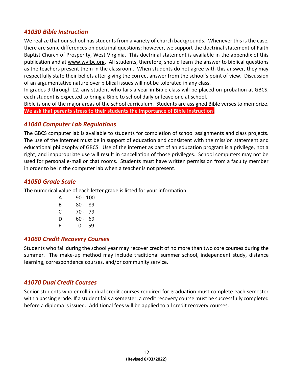### <span id="page-12-0"></span>*41030 Bible Instruction*

We realize that our school has students from a variety of church backgrounds. Whenever this is the case, there are some differences on doctrinal questions; however, we support the doctrinal statement of Faith Baptist Church of Prosperity, West Virginia. This doctrinal statement is available in the appendix of this publication and at [www.wvfbc.org.](http://www.wvfbc.org/) All students, therefore, should learn the answer to biblical questions as the teachers present them in the classroom. When students do not agree with this answer, they may respectfully state their beliefs after giving the correct answer from the school's point of view. Discussion of an argumentative nature over biblical issues will not be tolerated in any class.

In grades 9 through 12, any student who fails a year in Bible class will be placed on probation at GBCS; each student is expected to bring a Bible to school daily or leave one at school.

Bible is one of the major areas of the school curriculum. Students are assigned Bible verses to memorize. **We ask that parents stress to their students the importance of Bible instruction**.

### <span id="page-12-1"></span>*41040 Computer Lab Regulations*

The GBCS computer lab is available to students for completion of school assignments and class projects. The use of the Internet must be in support of education and consistent with the mission statement and educational philosophy of GBCS. Use of the internet as part of an education program is a privilege, not a right, and inappropriate use will result in cancellation of those privileges. School computers may not be used for personal e-mail or chat rooms. Students must have written permission from a faculty member in order to be in the computer lab when a teacher is not present.

### <span id="page-12-2"></span>*41050 Grade Scale*

The numerical value of each letter grade is listed for your information.

| А | 90 - 100 |    |
|---|----------|----|
| B | 80 - 89  |    |
| C | 70 - 79  |    |
| D | $60 -$   | 69 |
| F | 0-59     |    |

### <span id="page-12-3"></span>*41060 Credit Recovery Courses*

Students who fail during the school year may recover credit of no more than two core courses during the summer. The make-up method may include traditional summer school, independent study, distance learning, correspondence courses, and/or community service.

### <span id="page-12-4"></span>*41070 Dual Credit Courses*

Senior students who enroll in dual credit courses required for graduation must complete each semester with a passing grade. If a student fails a semester, a credit recovery course must be successfully completed before a diploma is issued. Additional fees will be applied to all credit recovery courses.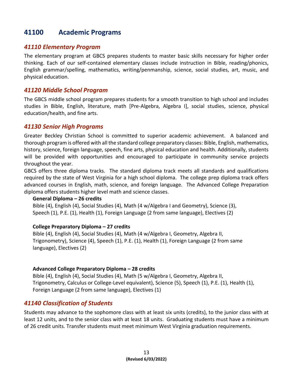### <span id="page-13-0"></span>**41100 Academic Programs**

#### <span id="page-13-1"></span>*41110 Elementary Program*

The elementary program at GBCS prepares students to master basic skills necessary for higher order thinking. Each of our self-contained elementary classes include instruction in Bible, reading/phonics, English grammar/spelling, mathematics, writing/penmanship, science, social studies, art, music, and physical education.

#### <span id="page-13-2"></span>*41120 Middle School Program*

The GBCS middle school program prepares students for a smooth transition to high school and includes studies in Bible, English, literature, math [Pre-Algebra, Algebra I], social studies, science, physical education/health, and fine arts.

#### <span id="page-13-3"></span>*41130 Senior High Programs*

Greater Beckley Christian School is committed to superior academic achievement. A balanced and thorough program is offered with all the standard college preparatory classes: Bible, English, mathematics, history, science, foreign language, speech, fine arts, physical education and health. Additionally, students will be provided with opportunities and encouraged to participate in community service projects throughout the year.

GBCS offers three diploma tracks. The standard diploma track meets all standards and qualifications required by the state of West Virginia for a high school diploma. The college prep diploma track offers advanced courses in English, math, science, and foreign language. The Advanced College Preparation diploma offers students higher level math and science classes.

#### **General Diploma – 26 credits**

Bible (4), English (4), Social Studies (4), Math (4 w/Algebra I and Geometry), Science (3), Speech (1), P.E. (1), Health (1), Foreign Language (2 from same language), Electives (2)

#### **College Preparatory Diploma – 27 credits**

Bible (4), English (4), Social Studies (4), Math (4 w/Algebra I, Geometry, Algebra II, Trigonometry), Science (4), Speech (1), P.E. (1), Health (1), Foreign Language (2 from same language), Electives (2)

#### **Advanced College Preparatory Diploma – 28 credits**

Bible (4), English (4), Social Studies (4), Math (5 w/Algebra I, Geometry, Algebra II, Trigonometry, Calculus or College-Level equivalent), Science (5), Speech (1), P.E. (1), Health (1), Foreign Language (2 from same language), Electives (1)

### <span id="page-13-4"></span>*41140 Classification of Students*

Students may advance to the sophomore class with at least six units (credits), to the junior class with at least 12 units, and to the senior class with at least 18 units. Graduating students must have a minimum of 26 credit units. Transfer students must meet minimum West Virginia graduation requirements.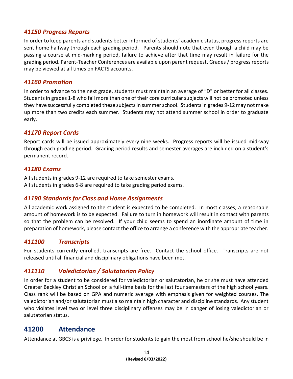### <span id="page-14-0"></span>*41150 Progress Reports*

In order to keep parents and students better informed of students' academic status, progress reports are sent home halfway through each grading period. Parents should note that even though a child may be passing a course at mid-marking period, failure to achieve after that time may result in failure for the grading period. Parent-Teacher Conferences are available upon parent request. Grades / progress reports may be viewed at all times on FACTS accounts.

#### <span id="page-14-1"></span>*41160 Promotion*

In order to advance to the next grade, students must maintain an average of "D" or better for all classes. Students in grades 1-8 who fail more than one of their core curricular subjects will not be promoted unless they have successfully completed these subjects in summer school. Students in grades 9-12 may not make up more than two credits each summer. Students may not attend summer school in order to graduate early.

### <span id="page-14-2"></span>*41170 Report Cards*

Report cards will be issued approximately every nine weeks. Progress reports will be issued mid-way through each grading period. Grading period results and semester averages are included on a student's permanent record.

#### <span id="page-14-3"></span>*41180 Exams*

All students in grades 9-12 are required to take semester exams. All students in grades 6-8 are required to take grading period exams.

### <span id="page-14-4"></span>*41190 Standards for Class and Home Assignments*

All academic work assigned to the student is expected to be completed. In most classes, a reasonable amount of homework is to be expected. Failure to turn in homework will result in contact with parents so that the problem can be resolved. If your child seems to spend an inordinate amount of time in preparation of homework, please contact the office to arrange a conference with the appropriate teacher.

### <span id="page-14-5"></span>*411100 Transcripts*

For students currently enrolled, transcripts are free. Contact the school office. Transcripts are not released until all financial and disciplinary obligations have been met.

### <span id="page-14-6"></span>*411110 Valedictorian / Salutatorian Policy*

In order for a student to be considered for valedictorian or salutatorian, he or she must have attended Greater Beckley Christian School on a full-time basis for the last four semesters of the high school years. Class rank will be based on GPA and numeric average with emphasis given for weighted courses. The valedictorian and/or salutatorian must also maintain high character and discipline standards. Any student who violates level two or level three disciplinary offenses may be in danger of losing valedictorian or salutatorian status.

### <span id="page-14-7"></span>**41200 Attendance**

Attendance at GBCS is a privilege. In order for students to gain the most from school he/she should be in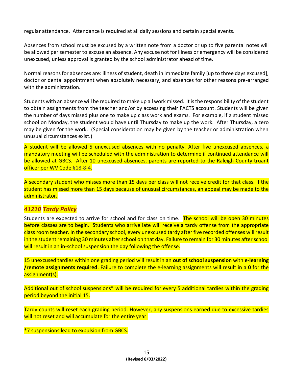regular attendance. Attendance is required at all daily sessions and certain special events.

Absences from school must be excused by a written note from a doctor or up to five parental notes will be allowed per semester to excuse an absence. Any excuse not for illness or emergency will be considered unexcused, unless approval is granted by the school administrator ahead of time.

Normal reasons for absences are: illness of student, death in immediate family [up to three days excused], doctor or dental appointment when absolutely necessary, and absences for other reasons pre-arranged with the administration.

Students with an absence will be required to make up all work missed. It is the responsibility of the student to obtain assignments from the teacher and/or by accessing their FACTS account. Students will be given the number of days missed plus one to make up class work and exams. For example, if a student missed school on Monday, the student would have until Thursday to make up the work. After Thursday, a zero may be given for the work. (Special consideration may be given by the teacher or administration when unusual circumstances exist.)

A student will be allowed 5 unexcused absences with no penalty. After five unexcused absences, a mandatory meeting will be scheduled with the administration to determine if continued attendance will be allowed at GBCS. After 10 unexcused absences, parents are reported to the Raleigh County truant officer per WV Code §18-8-4.

A secondary student who misses more than 15 days per class will not receive credit for that class. If the student has missed more than 15 days because of unusual circumstances, an appeal may be made to the administrator.

### <span id="page-15-0"></span>*41210 Tardy Policy*

Students are expected to arrive for school and for class on time. The school will be open 30 minutes before classes are to begin. Students who arrive late will receive a tardy offense from the appropriate class room teacher. In the secondary school, every unexcused tardy after five recorded offenses will result in the student remaining 30 minutes after school on that day. Failure to remain for 30 minutes after school will result in an in-school suspension the day following the offense.

15 unexcused tardies within one grading period will result in an **out of school suspension** with **e-learning /remote assignments required**. Failure to complete the e-learning assignments will result in a **0** for the assignment(s).

Additional out of school suspensions\* will be required for every 5 additional tardies within the grading period beyond the initial 15.

Tardy counts will reset each grading period. However, any suspensions earned due to excessive tardies will not reset and will accumulate for the entire year.

\*7 suspensions lead to expulsion from GBCS.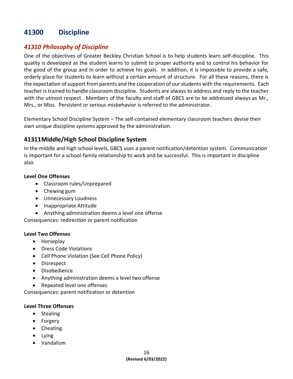### <span id="page-16-0"></span>**41300 Discipline**

### <span id="page-16-1"></span>*41310 Philosophy of Discipline*

One of the objectives of Greater Beckley Christian School is to help students learn self-discipline. This quality is developed as the student learns to submit to proper authority and to control his behavior for the good of the group and in order to achieve his goals. In addition, it is impossible to provide a safe, orderly place for students to learn without a certain amount of structure. For all these reasons, there is the expectation of support from parents and the cooperation of our students with the requirements. Each teacher is trained to handle classroom discipline. Students are always to address and reply to the teacher with the utmost respect. Members of the faculty and staff of GBCS are to be addressed always as Mr., Mrs., or Miss. Persistent or serious misbehavior is referred to the administrator.

Elementary School Discipline System – The self-contained elementary classroom teachers devise their own unique discipline systems approved by the administration.

### **41311Middle/High School Discipline System**

In the middle and high school levels, GBCS uses a parent notification/detention system. Communication is important for a school-family relationship to work and be successful. This is important in discipline also.

#### **Level One Offenses**

- Classroom rules/Unprepared
- Chewing gum
- Unnecessary Loudness
- Inappropriate Attitude
- Anything administration deems a level one offense

Consequences: redirection or parent notification

#### **Level Two Offenses**

- Horseplay
- Dress Code Violations
- Cell Phone Violation (See Cell Phone Policy)
- Disrespect
- Disobedience
- Anything administration deems a level two offense
- Repeated level one offenses

Consequences: parent notification or detention

#### **Level Three Offenses**

- Stealing
- Forgery
- Cheating
- Lying
- Vandalism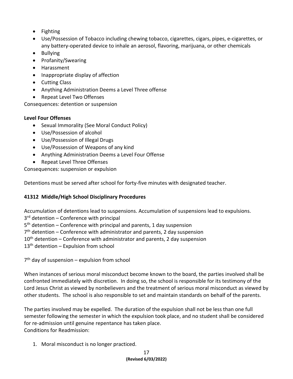- Fighting
- Use/Possession of Tobacco including chewing tobacco, cigarettes, cigars, pipes, e-cigarettes, or any battery-operated device to inhale an aerosol, flavoring, marijuana, or other chemicals
- Bullying
- Profanity/Swearing
- Harassment
- Inappropriate display of affection
- Cutting Class
- Anything Administration Deems a Level Three offense
- Repeat Level Two Offenses

Consequences: detention or suspension

### **Level Four Offenses**

- Sexual Immorality (See Moral Conduct Policy)
- Use/Possession of alcohol
- Use/Possession of Illegal Drugs
- Use/Possession of Weapons of any kind
- Anything Administration Deems a Level Four Offense
- Repeat Level Three Offenses

Consequences: suspension or expulsion

Detentions must be served after school for forty-five minutes with designated teacher.

### **41312 Middle/High School Disciplinary Procedures**

Accumulation of detentions lead to suspensions. Accumulation of suspensions lead to expulsions.

3<sup>rd</sup> detention - Conference with principal

5<sup>th</sup> detention – Conference with principal and parents, 1 day suspension

7<sup>th</sup> detention – Conference with administrator and parents, 2 day suspension

 $10<sup>th</sup>$  detention – Conference with administrator and parents, 2 day suspension

 $13<sup>th</sup>$  detention – Expulsion from school

7<sup>th</sup> day of suspension – expulsion from school

When instances of serious moral misconduct become known to the board, the parties involved shall be confronted immediately with discretion. In doing so, the school is responsible for its testimony of the Lord Jesus Christ as viewed by nonbelievers and the treatment of serious moral misconduct as viewed by other students. The school is also responsible to set and maintain standards on behalf of the parents.

The parties involved may be expelled. The duration of the expulsion shall not be less than one full semester following the semester in which the expulsion took place, and no student shall be considered for re-admission until genuine repentance has taken place. Conditions for Readmission:

1. Moral misconduct is no longer practiced.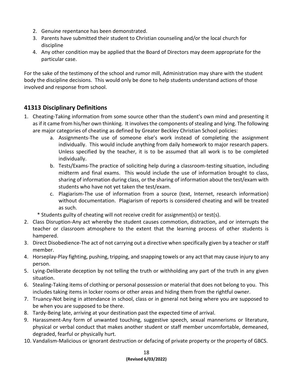- 2. Genuine repentance has been demonstrated.
- 3. Parents have submitted their student to Christian counseling and/or the local church for discipline
- 4. Any other condition may be applied that the Board of Directors may deem appropriate for the particular case.

For the sake of the testimony of the school and rumor mill, Administration may share with the student body the discipline decisions. This would only be done to help students understand actions of those involved and response from school.

### **41313 Disciplinary Definitions**

- 1. Cheating-Taking information from some source other than the student's own mind and presenting it as if it came from his/her own thinking. It involves the components of stealing and lying. The following are major categories of cheating as defined by Greater Beckley Christian School policies:
	- a. Assignments-The use of someone else's work instead of completing the assignment individually. This would include anything from daily homework to major research papers. Unless specified by the teacher, it is to be assumed that all work is to be completed individually.
	- b. Tests/Exams-The practice of soliciting help during a classroom-testing situation, including midterm and final exams. This would include the use of information brought to class, sharing of information during class, or the sharing of information about the test/exam with students who have not yet taken the test/exam.
	- c. Plagiarism-The use of information from a source (text, Internet, research information) without documentation. Plagiarism of reports is considered cheating and will be treated as such.
	- \* Students guilty of cheating will not receive credit for assignment(s) or test(s).
- 2. Class Disruption-Any act whereby the student causes commotion, distraction, and or interrupts the teacher or classroom atmosphere to the extent that the learning process of other students is hampered.
- 3. Direct Disobedience-The act of not carrying out a directive when specifically given by a teacher or staff member.
- 4. Horseplay-Play fighting, pushing, tripping, and snapping towels or any act that may cause injury to any person.
- 5. Lying-Deliberate deception by not telling the truth or withholding any part of the truth in any given situation.
- 6. Stealing-Taking items of clothing or personal possession or material that does not belong to you. This includes taking items in locker rooms or other areas and hiding them from the rightful owner.
- 7. Truancy-Not being in attendance in school, class or in general not being where you are supposed to be when you are supposed to be there.
- 8. Tardy-Being late, arriving at your destination past the expected time of arrival.
- 9. Harassment-Any form of unwanted touching, suggestive speech, sexual mannerisms or literature, physical or verbal conduct that makes another student or staff member uncomfortable, demeaned, degraded, fearful or physically hurt.
- 10. Vandalism-Malicious or ignorant destruction or defacing of private property or the property of GBCS.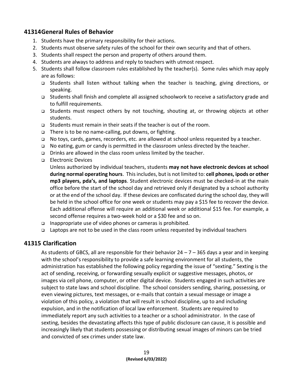### **41314General Rules of Behavior**

- 1. Students have the primary responsibility for their actions.
- 2. Students must observe safety rules of the school for their own security and that of others.
- 3. Students shall respect the person and property of others around them.
- 4. Students are always to address and reply to teachers with utmost respect.
- 5. Students shall follow classroom rules established by the teacher(s). Some rules which may apply are as follows:
	- ❑ Students shall listen without talking when the teacher is teaching, giving directions, or speaking.
	- ❑ Students shall finish and complete all assigned schoolwork to receive a satisfactory grade and to fulfill requirements.
	- ❑ Students must respect others by not touching, shouting at, or throwing objects at other students.
	- ❑ Students must remain in their seats if the teacher is out of the room.
	- ❑ There is to be no name-calling, put downs, or fighting.
	- ❑ No toys, cards, games, recorders, etc. are allowed at school unless requested by a teacher.
	- ❑ No eating, gum or candy is permitted in the classroom unless directed by the teacher.
	- ❑ Drinks are allowed in the class room unless limited by the teacher.
	- ❑ Electronic Devices

Unless authorized by individual teachers, students **may not have electronic devices at school during normal operating hours**. This includes, but is not limited to: **cell phones, ipods or other mp3 players, pda's, and laptops**. Student electronic devices must be checked-in at the main office before the start of the school day and retrieved only if designated by a school authority or at the end of the school day. If these devices are confiscated during the school day, they will be held in the school office for one week or students may pay a \$15 fee to recover the device. Each additional offense will require an additional week or additional \$15 fee. For example, a second offense requires a two-week hold or a \$30 fee and so on.

- ❑ Inappropriate use of video phones or cameras is prohibited.
- ❑ Laptops are not to be used in the class room unless requested by individual teachers

### **41315 Clarification**

As students of GBCS, all are responsible for their behavior  $24 - 7 - 365$  days a year and in keeping with the school's responsibility to provide a safe learning environment for all students, the administration has established the following policy regarding the issue of "sexting." Sexting is the act of sending, receiving, or forwarding sexually explicit or suggestive messages, photos, or images via cell phone, computer, or other digital device. Students engaged in such activities are subject to state laws and school discipline. The school considers sending, sharing, possessing, or even viewing pictures, text messages, or e-mails that contain a sexual message or image a violation of this policy, a violation that will result in school discipline, up to and including expulsion, and in the notification of local law enforcement. Students are required to immediately report any such activities to a teacher or a school administrator. In the case of sexting, besides the devastating affects this type of public disclosure can cause, it is possible and increasingly likely that students possessing or distributing sexual images of minors can be tried and convicted of sex crimes under state law.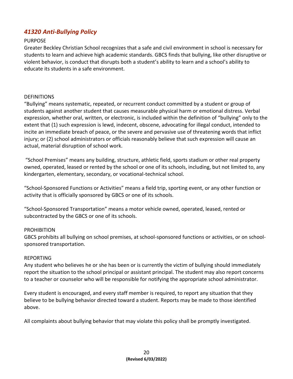### <span id="page-20-0"></span>*41320 Anti-Bullying Policy*

#### PURPOSE

Greater Beckley Christian School recognizes that a safe and civil environment in school is necessary for students to learn and achieve high academic standards. GBCS finds that bullying, like other disruptive or violent behavior, is conduct that disrupts both a student's ability to learn and a school's ability to educate its students in a safe environment.

#### **DEFINITIONS**

"Bullying" means systematic, repeated, or recurrent conduct committed by a student or group of students against another student that causes measurable physical harm or emotional distress. Verbal expression, whether oral, written, or electronic, is included within the definition of "bullying" only to the extent that (1) such expression is lewd, indecent, obscene, advocating for illegal conduct, intended to incite an immediate breach of peace, or the severe and pervasive use of threatening words that inflict injury; or (2) school administrators or officials reasonably believe that such expression will cause an actual, material disruption of school work.

"School Premises" means any building, structure, athletic field, sports stadium or other real property owned, operated, leased or rented by the school or one of its schools, including, but not limited to, any kindergarten, elementary, secondary, or vocational-technical school.

"School-Sponsored Functions or Activities" means a field trip, sporting event, or any other function or activity that is officially sponsored by GBCS or one of its schools.

"School-Sponsored Transportation" means a motor vehicle owned, operated, leased, rented or subcontracted by the GBCS or one of its schools.

#### PROHIBITION

GBCS prohibits all bullying on school premises, at school-sponsored functions or activities, or on schoolsponsored transportation.

#### REPORTING

Any student who believes he or she has been or is currently the victim of bullying should immediately report the situation to the school principal or assistant principal. The student may also report concerns to a teacher or counselor who will be responsible for notifying the appropriate school administrator.

Every student is encouraged, and every staff member is required, to report any situation that they believe to be bullying behavior directed toward a student. Reports may be made to those identified above.

All complaints about bullying behavior that may violate this policy shall be promptly investigated.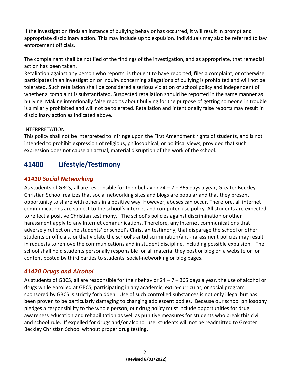If the investigation finds an instance of bullying behavior has occurred, it will result in prompt and appropriate disciplinary action. This may include up to expulsion. Individuals may also be referred to law enforcement officials.

The complainant shall be notified of the findings of the investigation, and as appropriate, that remedial action has been taken.

Retaliation against any person who reports, is thought to have reported, files a complaint, or otherwise participates in an investigation or inquiry concerning allegations of bullying is prohibited and will not be tolerated. Such retaliation shall be considered a serious violation of school policy and independent of whether a complaint is substantiated. Suspected retaliation should be reported in the same manner as bullying. Making intentionally false reports about bullying for the purpose of getting someone in trouble is similarly prohibited and will not be tolerated. Retaliation and intentionally false reports may result in disciplinary action as indicated above.

### INTERPRETATION

This policy shall not be interpreted to infringe upon the First Amendment rights of students, and is not intended to prohibit expression of religious, philosophical, or political views, provided that such expression does not cause an actual, material disruption of the work of the school.

### <span id="page-21-0"></span>**41400 Lifestyle/Testimony**

### <span id="page-21-1"></span>*41410 Social Networking*

As students of GBCS, all are responsible for their behavior  $24 - 7 - 365$  days a year, Greater Beckley Christian School realizes that social networking sites and blogs are popular and that they present opportunity to share with others in a positive way. However, abuses can occur. Therefore, all internet communications are subject to the school's internet and computer-use policy. All students are expected to reflect a positive Christian testimony. The school's policies against discrimination or other harassment apply to any Internet communications. Therefore, any Internet communications that adversely reflect on the students' or school's Christian testimony, that disparage the school or other students or officials, or that violate the school's antidiscrimination/anti-harassment policies may result in requests to remove the communications and in student discipline, including possible expulsion. The school shall hold students personally responsible for all material they post or blog on a website or for content posted by third parties to students' social-networking or blog pages.

### <span id="page-21-2"></span>*41420 Drugs and Alcohol*

As students of GBCS, all are responsible for their behavior  $24 - 7 - 365$  days a year, the use of alcohol or drugs while enrolled at GBCS, participating in any academic, extra-curricular, or social program sponsored by GBCS is strictly forbidden. Use of such controlled substances is not only illegal but has been proven to be particularly damaging to changing adolescent bodies. Because our school philosophy pledges a responsibility to the whole person, our drug policy must include opportunities for drug awareness education and rehabilitation as well as punitive measures for students who break this civil and school rule. If expelled for drugs and/or alcohol use, students will not be readmitted to Greater Beckley Christian School without proper drug testing.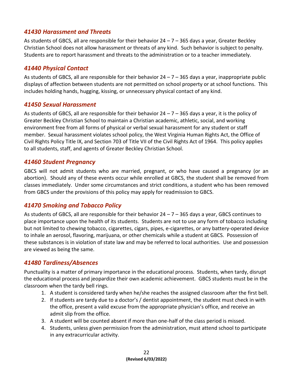### <span id="page-22-0"></span>*41430 Harassment and Threats*

As students of GBCS, all are responsible for their behavior  $24 - 7 - 365$  days a year, Greater Beckley Christian School does not allow harassment or threats of any kind. Such behavior is subject to penalty. Students are to report harassment and threats to the administration or to a teacher immediately.

### <span id="page-22-1"></span>*41440 Physical Contact*

As students of GBCS, all are responsible for their behavior  $24 - 7 - 365$  days a year, inappropriate public displays of affection between students are not permitted on school property or at school functions. This includes holding hands, hugging, kissing, or unnecessary physical contact of any kind.

### <span id="page-22-2"></span>*41450 Sexual Harassment*

As students of GBCS, all are responsible for their behavior  $24 - 7 - 365$  days a year, it is the policy of Greater Beckley Christian School to maintain a Christian academic, athletic, social, and working environment free from all forms of physical or verbal sexual harassment for any student or staff member. Sexual harassment violates school policy, the West Virginia Human Rights Act, the Office of Civil Rights Policy Title IX, and Section 703 of Title VII of the Civil Rights Act of 1964. This policy applies to all students, staff, and agents of Greater Beckley Christian School.

### <span id="page-22-3"></span>*41460 Student Pregnancy*

GBCS will not admit students who are married, pregnant, or who have caused a pregnancy (or an abortion). Should any of these events occur while enrolled at GBCS, the student shall be removed from classes immediately. Under some circumstances and strict conditions, a student who has been removed from GBCS under the provisions of this policy may apply for readmission to GBCS.

### <span id="page-22-4"></span>*41470 Smoking and Tobacco Policy*

As students of GBCS, all are responsible for their behavior  $24 - 7 - 365$  days a year, GBCS continues to place importance upon the health of its students. Students are not to use any form of tobacco including but not limited to chewing tobacco, cigarettes, cigars, pipes, e-cigarettes, or any battery-operated device to inhale an aerosol, flavoring, marijuana, or other chemicals while a student at GBCS. Possession of these substances is in violation of state law and may be referred to local authorities. Use and possession are viewed as being the same.

### <span id="page-22-5"></span>*41480 Tardiness/Absences*

Punctuality is a matter of primary importance in the educational process. Students, when tardy, disrupt the educational process and jeopardize their own academic achievement. GBCS students must be in the classroom when the tardy bell rings.

- 1. A student is considered tardy when he/she reaches the assigned classroom after the first bell.
- 2. If students are tardy due to a doctor's / dentist appointment, the student must check in with the office, present a valid excuse from the appropriate physician's office, and receive an admit slip from the office.
- 3. A student will be counted absent if more than one-half of the class period is missed.
- 4. Students, unless given permission from the administration, must attend school to participate in any extracurricular activity.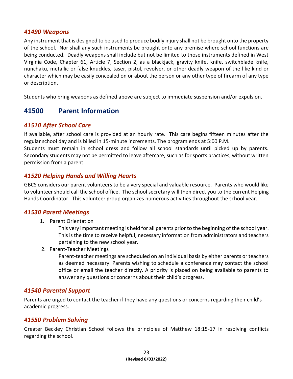#### <span id="page-23-0"></span>*41490 Weapons*

Any instrument that is designed to be used to produce bodily injury shall not be brought onto the property of the school. Nor shall any such instruments be brought onto any premise where school functions are being conducted. Deadly weapons shall include but not be limited to those instruments defined in West Virginia Code, Chapter 61, Article 7, Section 2, as a blackjack, gravity knife, knife, switchblade knife, nunchaku, metallic or false knuckles, taser, pistol, revolver, or other deadly weapon of the like kind or character which may be easily concealed on or about the person or any other type of firearm of any type or description.

<span id="page-23-1"></span>Students who bring weapons as defined above are subject to immediate suspension and/or expulsion.

### **41500 Parent Information**

### <span id="page-23-2"></span>*41510 After School Care*

If available, after school care is provided at an hourly rate. This care begins fifteen minutes after the regular school day and is billed in 15-minute increments. The program ends at 5:00 P.M.

Students must remain in school dress and follow all school standards until picked up by parents. Secondary students may not be permitted to leave aftercare, such as for sports practices, without written permission from a parent.

### <span id="page-23-3"></span>*41520 Helping Hands and Willing Hearts*

GBCS considers our parent volunteers to be a very special and valuable resource. Parents who would like to volunteer should call the school office. The school secretary will then direct you to the current Helping Hands Coordinator. This volunteer group organizes numerous activities throughout the school year.

### *41530 Parent Meetings*

<span id="page-23-4"></span>1. Parent Orientation

This very important meeting is held for all parents prior to the beginning of the school year. This is the time to receive helpful, necessary information from administrators and teachers pertaining to the new school year.

2. Parent-Teacher Meetings

Parent-teacher meetings are scheduled on an individual basis by either parents or teachers as deemed necessary. Parents wishing to schedule a conference may contact the school office or email the teacher directly. A priority is placed on being available to parents to answer any questions or concerns about their child's progress.

### <span id="page-23-5"></span>*41540 Parental Support*

Parents are urged to contact the teacher if they have any questions or concerns regarding their child's academic progress.

### <span id="page-23-6"></span>*41550 Problem Solving*

Greater Beckley Christian School follows the principles of Matthew 18:15-17 in resolving conflicts regarding the school.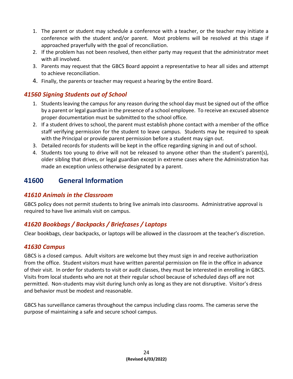- 1. The parent or student may schedule a conference with a teacher, or the teacher may initiate a conference with the student and/or parent. Most problems will be resolved at this stage if approached prayerfully with the goal of reconciliation.
- 2. If the problem has not been resolved, then either party may request that the administrator meet with all involved.
- 3. Parents may request that the GBCS Board appoint a representative to hear all sides and attempt to achieve reconciliation.
- <span id="page-24-0"></span>4. Finally, the parents or teacher may request a hearing by the entire Board.

### *41560 Signing Students out of School*

- 1. Students leaving the campus for any reason during the school day must be signed out of the office by a parent or legal guardian in the presence of a school employee. To receive an excused absence proper documentation must be submitted to the school office.
- 2. If a student drives to school, the parent must establish phone contact with a member of the office staff verifying permission for the student to leave campus. Students may be required to speak with the Principal or provide parent permission before a student may sign out.
- 3. Detailed records for students will be kept in the office regarding signing in and out of school.
- 4. Students too young to drive will not be released to anyone other than the student's parent(s), older sibling that drives, or legal guardian except in extreme cases where the Administration has made an exception unless otherwise designated by a parent.

### <span id="page-24-1"></span>**41600 General Information**

### <span id="page-24-2"></span>*41610 Animals in the Classroom*

GBCS policy does not permit students to bring live animals into classrooms. Administrative approval is required to have live animals visit on campus.

### <span id="page-24-3"></span>*41620 Bookbags / Backpacks / Briefcases / Laptops*

<span id="page-24-4"></span>Clear bookbags, clear backpacks, or laptops will be allowed in the classroom at the teacher's discretion.

### *41630 Campus*

GBCS is a closed campus. Adult visitors are welcome but they must sign in and receive authorization from the office. Student visitors must have written parental permission on file in the office in advance of their visit. In order for students to visit or audit classes, they must be interested in enrolling in GBCS. Visits from local students who are not at their regular school because of scheduled days off are not permitted. Non-students may visit during lunch only as long as they are not disruptive. Visitor's dress and behavior must be modest and reasonable.

GBCS has surveillance cameras throughout the campus including class rooms. The cameras serve the purpose of maintaining a safe and secure school campus.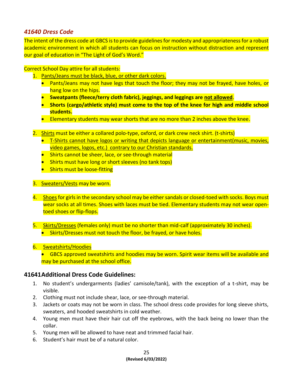### <span id="page-25-0"></span>*41640 Dress Code*

The intent of the dress code at GBCS is to provide guidelines for modesty and appropriateness for a robust academic environment in which all students can focus on instruction without distraction and represent our goal of education in "The Light of God's Word."

Correct School Day attire for all students:

- 1. Pants/Jeans must be black, blue, or other dark colors.
	- Pants/Jeans may not have legs that touch the floor; they may not be frayed, have holes, or hang low on the hips.
	- **Sweatpants (fleece/terry cloth fabric), jeggings, and leggings are not allowed**.
	- **Shorts (cargo/athletic style) must come to the top of the knee for high and middle school students.**
	- Elementary students may wear shorts that are no more than 2 inches above the knee.
- 2. Shirts must be either a collared polo-type, oxford, or dark crew neck shirt. (t-shirts)
	- T-Shirts cannot have logos or writing that depicts language or entertainment(music, movies, video games, logos, etc.) contrary to our Christian standards.
	- Shirts cannot be sheer, lace, or see-through material
	- Shirts must have long or short sleeves (no tank tops)
	- Shirts must be loose-fitting
- 3. Sweaters/Vests may be worn.
- 4. Shoes for girls in the secondary school may be either sandals or closed-toed with socks. Boys must wear socks at all times. Shoes with laces must be tied. Elementary students may not wear opentoed shoes or flip-flops.
- 5. Skirts/Dresses (females only) must be no shorter than mid-calf (approximately 30 inches).
	- Skirts/Dresses must not touch the floor, be frayed, or have holes.
- 6. Sweatshirts/Hoodies
	- GBCS approved sweatshirts and hoodies may be worn. Spirit wear items will be available and may be purchased at the school office.

### **41641Additional Dress Code Guidelines:**

- 1. No student's undergarments (ladies' camisole/tank), with the exception of a t-shirt, may be visible.
- 2. Clothing must not include shear, lace, or see-through material.
- 3. Jackets or coats may not be worn in class. The school dress code provides for long sleeve shirts, sweaters, and hooded sweatshirts in cold weather.
- 4. Young men must have their hair cut off the eyebrows, with the back being no lower than the collar.
- 5. Young men will be allowed to have neat and trimmed facial hair.
- 6. Student's hair must be of a natural color.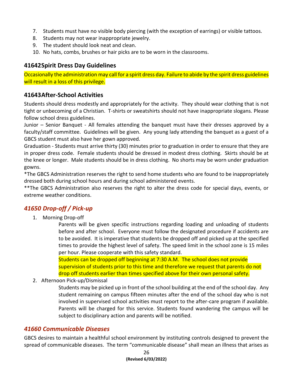- 7. Students must have no visible body piercing (with the exception of earrings) or visible tattoos.
- 8. Students may not wear inappropriate jewelry.
- 9. The student should look neat and clean.
- 10. No hats, combs, brushes or hair picks are to be worn in the classrooms.

### **41642Spirit Dress Day Guidelines**

Occasionally the administration may call for a spirit dress day. Failure to abide by the spirit dress guidelines will result in a loss of this privilege.

### **41643After-School Activities**

Students should dress modestly and appropriately for the activity. They should wear clothing that is not tight or unbecoming of a Christian. T-shirts or sweatshirts should not have inappropriate slogans. Please follow school dress guidelines.

Junior – Senior Banquet - All females attending the banquet must have their dresses approved by a faculty/staff committee. Guidelines will be given. Any young lady attending the banquet as a guest of a GBCS student must also have her gown approved.

Graduation - Students must arrive thirty (30) minutes prior to graduation in order to ensure that they are in proper dress code. Female students should be dressed in modest dress clothing. Skirts should be at the knee or longer. Male students should be in dress clothing. No shorts may be worn under graduation gowns.

\*The GBCS Administration reserves the right to send home students who are found to be inappropriately dressed both during school hours and during school administered events.

\*\*The GBCS Administration also reserves the right to alter the dress code for special days, events, or extreme weather conditions.

### *41650 Drop-off / Pick-up*

<span id="page-26-0"></span>1. Morning Drop-off

Parents will be given specific instructions regarding loading and unloading of students before and after school. Everyone must follow the designated procedure if accidents are to be avoided. It is imperative that students be dropped off and picked up at the specified times to provide the highest level of safety. The speed limit in the school zone is 15 miles per hour. Please cooperate with this safety standard.

Students can be dropped off beginning at 7:30 A.M. The school does not provide supervision of students prior to this time and therefore we request that parents do not drop off students earlier than times specified above for their own personal safety.

2. Afternoon Pick-up/Dismissal

Students may be picked up in front of the school building at the end of the school day. Any student remaining on campus fifteen minutes after the end of the school day who is not involved in supervised school activities must report to the after-care program if available. Parents will be charged for this service. Students found wandering the campus will be subject to disciplinary action and parents will be notified.

### <span id="page-26-1"></span>*41660 Communicable Diseases*

GBCS desires to maintain a healthful school environment by instituting controls designed to prevent the spread of communicable diseases. The term "communicable disease" shall mean an illness that arises as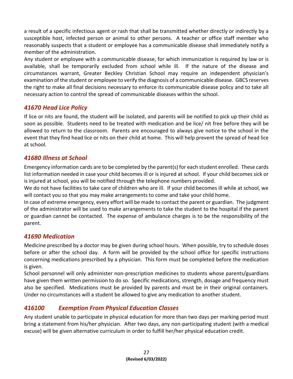a result of a specific infectious agent or rash that shall be transmitted whether directly or indirectly by a susceptible host, infected person or animal to other persons. A teacher or office staff member who reasonably suspects that a student or employee has a communicable disease shall immediately notify a member of the administration.

Any student or employee with a communicable disease, for which immunization is required by law or is available, shall be temporarily excluded from school while ill. If the nature of the disease and circumstances warrant, Greater Beckley Christian School may require an independent physician's examination of the student or employee to verify the diagnosis of a communicable disease. GBCS reserves the right to make all final decisions necessary to enforce its communicable disease policy and to take all necessary action to control the spread of communicable diseases within the school.

### <span id="page-27-0"></span>*41670 Head Lice Policy*

If lice or nits are found, the student will be isolated, and parents will be notified to pick up their child as soon as possible. Students need to be treated with medication and be lice/ nit free before they will be allowed to return to the classroom. Parents are encouraged to always give notice to the school in the event that they find head lice or nits on their child at home. This will help prevent the spread of head lice at school.

### <span id="page-27-1"></span>*41680 Illness at School*

Emergency information cards are to be completed by the parent(s) for each student enrolled. These cards list information needed in case your child becomes ill or is injured at school. If your child becomes sick or is injured at school, you will be notified through the telephone numbers provided.

We do not have facilities to take care of children who are ill. If your child becomes ill while at school, we will contact you so that you may make arrangements to come and take your child home.

In case of extreme emergency, every effort will be made to contact the parent or guardian. The judgment of the administrator will be used to make arrangements to take the student to the hospital if the parent or guardian cannot be contacted. The expense of ambulance charges is to be the responsibility of the parent.

### <span id="page-27-2"></span>*41690 Medication*

Medicine prescribed by a doctor may be given during school hours. When possible, try to schedule doses before or after the school day. A form will be provided by the school office for specific instructions concerning medications prescribed by a physician. This form must be completed before the medication is given.

School personnel will only administer non-prescription medicines to students whose parents/guardians have given them written permission to do so. Specific medications, strength, dosage and frequency must also be specified. Medications must be provided by parents and must be in their original containers. Under no circumstances will a student be allowed to give any medication to another student.

### <span id="page-27-3"></span>*416100 Exemption From Physical Education Classes*

Any student unable to participate in physical education for more than two days per marking period must bring a statement from his/her physician. After two days, any non-participating student (with a medical excuse) will be given alternative curriculum in order to fulfill her/her physical education credit.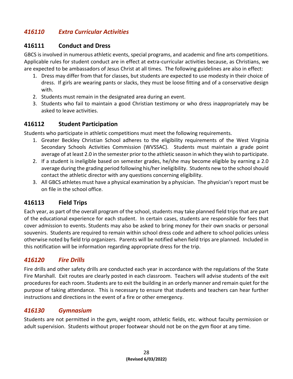### <span id="page-28-0"></span>*416110 Extra Curricular Activities*

### **416111 Conduct and Dress**

GBCS is involved in numerous athletic events, special programs, and academic and fine arts competitions. Applicable rules for student conduct are in effect at extra-curricular activities because, as Christians, we are expected to be ambassadors of Jesus Christ at all times. The following guidelines are also in effect:

- 1. Dress may differ from that for classes, but students are expected to use modesty in their choice of dress. If girls are wearing pants or slacks, they must be loose fitting and of a conservative design with.
- 2. Students must remain in the designated area during an event.
- 3. Students who fail to maintain a good Christian testimony or who dress inappropriately may be asked to leave activities.

### **416112 Student Participation**

Students who participate in athletic competitions must meet the following requirements.

- 1. Greater Beckley Christian School adheres to the eligibility requirements of the West Virginia Secondary Schools Activities Commission (WVSSAC). Students must maintain a grade point average of at least 2.0 in the semester prior to the athletic season in which they wish to participate.
- 2. If a student is ineligible based on semester grades, he/she may become eligible by earning a 2.0 average during the grading period following his/her ineligibility. Students new to the school should contact the athletic director with any questions concerning eligibility.
- 3. All GBCS athletes must have a physical examination by a physician. The physician's report must be on file in the school office.

### **416113 Field Trips**

Each year, as part of the overall program of the school, students may take planned field trips that are part of the educational experience for each student. In certain cases, students are responsible for fees that cover admission to events. Students may also be asked to bring money for their own snacks or personal souvenirs. Students are required to remain within school dress code and adhere to school policies unless otherwise noted by field trip organizers. Parents will be notified when field trips are planned. Included in this notification will be information regarding appropriate dress for the trip.

### <span id="page-28-1"></span>*416120 Fire Drills*

Fire drills and other safety drills are conducted each year in accordance with the regulations of the State Fire Marshall. Exit routes are clearly posted in each classroom. Teachers will advise students of the exit procedures for each room. Students are to exit the building in an orderly manner and remain quiet for the purpose of taking attendance. This is necessary to ensure that students and teachers can hear further instructions and directions in the event of a fire or other emergency.

### <span id="page-28-2"></span>*416130 Gymnasium*

Students are not permitted in the gym, weight room, athletic fields, etc. without faculty permission or adult supervision. Students without proper footwear should not be on the gym floor at any time.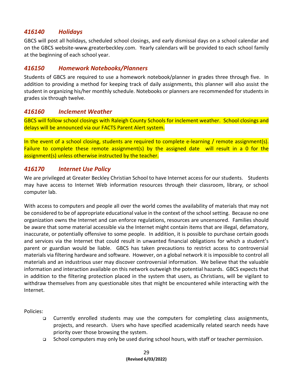### <span id="page-29-0"></span>*416140 Holidays*

GBCS will post all holidays, scheduled school closings, and early dismissal days on a school calendar and on the GBCS website-www.greaterbeckley.com. Yearly calendars will be provided to each school family at the beginning of each school year.

### <span id="page-29-1"></span>*416150 Homework Notebooks/Planners*

Students of GBCS are required to use a homework notebook/planner in grades three through five. In addition to providing a method for keeping track of daily assignments, this planner will also assist the student in organizing his/her monthly schedule. Notebooks or planners are recommended for students in grades six through twelve.

### <span id="page-29-2"></span>*416160 Inclement Weather*

GBCS will follow school closings with Raleigh County Schools for inclement weather. School closings and delays will be announced via our FACTS Parent Alert system.

In the event of a school closing, students are required to complete e-learning / remote assignment(s). Failure to complete these remote assignment(s) by the assigned date will result in a 0 for the assignment(s) unless otherwise instructed by the teacher.

### <span id="page-29-3"></span>*416170 Internet Use Policy*

We are privileged at Greater Beckley Christian School to have Internet access for our students. Students may have access to Internet Web information resources through their classroom, library, or school computer lab.

With access to computers and people all over the world comes the availability of materials that may not be considered to be of appropriate educational value in the context of the school setting. Because no one organization owns the Internet and can enforce regulations, resources are uncensored. Families should be aware that some material accessible via the Internet might contain items that are illegal, defamatory, inaccurate, or potentially offensive to some people. In addition, it is possible to purchase certain goods and services via the Internet that could result in unwanted financial obligations for which a student's parent or guardian would be liable. GBCS has taken precautions to restrict access to controversial materials via filtering hardware and software. However, on a global network it is impossible to control all materials and an industrious user may discover controversial information. We believe that the valuable information and interaction available on this network outweigh the potential hazards. GBCS expects that in addition to the filtering protection placed in the system that users, as Christians, will be vigilant to withdraw themselves from any questionable sites that might be encountered while interacting with the Internet.

Policies:

- ❑ Currently enrolled students may use the computers for completing class assignments, projects, and research. Users who have specified academically related search needs have priority over those browsing the system.
- ❑ School computers may only be used during school hours, with staff or teacher permission.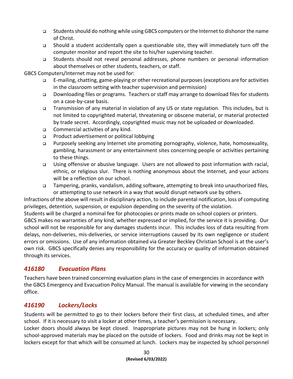- ❑ Students should do nothing while using GBCS computers or the Internet to dishonor the name of Christ.
- ❑ Should a student accidentally open a questionable site, they will immediately turn off the computer monitor and report the site to his/her supervising teacher.
- ❑ Students should not reveal personal addresses, phone numbers or personal information about themselves or other students, teachers, or staff.

#### GBCS Computers/Internet may not be used for:

- ❑ E-mailing, chatting, game-playing or other recreational purposes (exceptions are for activities in the classroom setting with teacher supervision and permission)
- ❑ Downloading files or programs. Teachers or staff may arrange to download files for students on a case-by-case basis.
- ❑ Transmission of any material in violation of any US or state regulation. This includes, but is not limited to copyrighted material, threatening or obscene material, or material protected by trade secret. Accordingly, copyrighted music may not be uploaded or downloaded.
- ❑ Commercial activities of any kind.
- ❑ Product advertisement or political lobbying
- ❑ Purposely seeking any Internet site promoting pornography, violence, hate, homosexuality, gambling, harassment or any entertainment sites concerning people or activities pertaining to these things.
- ❑ Using offensive or abusive language. Users are not allowed to post information with racial, ethnic, or religious slur. There is nothing anonymous about the Internet, and your actions will be a reflection on our school.
- ❑ Tampering, pranks, vandalism, adding software, attempting to break into unauthorized files, or attempting to use network in a way that would disrupt network use by others.

Infractions of the above will result in disciplinary action, to include parental notification, loss of computing privileges, detention, suspension, or expulsion depending on the severity of the violation.

Students will be charged a nominal fee for photocopies or prints made on school copiers or printers.

GBCS makes no warranties of any kind, whether expressed or implied, for the service it is providing. Our school will not be responsible for any damages students incur. This includes loss of data resulting from delays, non-deliveries, mis-deliveries, or service interruptions caused by its own negligence or student errors or omissions. Use of any information obtained via Greater Beckley Christian School is at the user's own risk. GBCS specifically denies any responsibility for the accuracy or quality of information obtained through its services.

### <span id="page-30-0"></span>*416180 Evacuation Plans*

Teachers have been trained concerning evaluation plans in the case of emergencies in accordance with the GBCS Emergency and Evacuation Policy Manual. The manual is available for viewing in the secondary office.

### <span id="page-30-1"></span>*416190 Lockers/Locks*

Students will be permitted to go to their lockers before their first class, at scheduled times, and after school. If it is necessary to visit a locker at other times, a teacher's permission is necessary.

Locker doors should always be kept closed. Inappropriate pictures may not be hung in lockers; only school-approved materials may be placed on the outside of lockers. Food and drinks may not be kept in lockers except for that which will be consumed at lunch. Lockers may be inspected by school personnel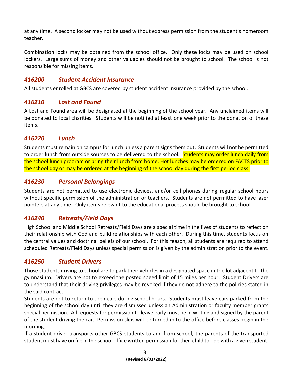at any time. A second locker may not be used without express permission from the student's homeroom teacher.

Combination locks may be obtained from the school office. Only these locks may be used on school lockers. Large sums of money and other valuables should not be brought to school. The school is not responsible for missing items.

### <span id="page-31-0"></span>*416200 Student Accident Insurance*

All students enrolled at GBCS are covered by student accident insurance provided by the school.

### <span id="page-31-1"></span>*416210 Lost and Found*

A Lost and Found area will be designated at the beginning of the school year. Any unclaimed items will be donated to local charities. Students will be notified at least one week prior to the donation of these items.

### <span id="page-31-2"></span>*416220 Lunch*

Students must remain on campus for lunch unless a parent signs them out. Students will not be permitted to order lunch from outside sources to be delivered to the school. Students may order lunch daily from the school lunch program or bring their lunch from home. Hot lunches may be ordered on FACTS prior to the school day or may be ordered at the beginning of the school day during the first period class.

### <span id="page-31-3"></span>*416230 Personal Belongings*

Students are not permitted to use electronic devices, and/or cell phones during regular school hours without specific permission of the administration or teachers. Students are not permitted to have laser pointers at any time. Only items relevant to the educational process should be brought to school.

### <span id="page-31-4"></span>*416240 Retreats/Field Days*

High School and Middle School Retreats/Field Days are a special time in the lives of students to reflect on their relationship with God and build relationships with each other. During this time, students focus on the central values and doctrinal beliefs of our school. For this reason, all students are required to attend scheduled Retreats/Field Days unless special permission is given by the administration prior to the event.

### <span id="page-31-5"></span>*416250 Student Drivers*

Those students driving to school are to park their vehicles in a designated space in the lot adjacent to the gymnasium. Drivers are not to exceed the posted speed limit of 15 miles per hour. Student Drivers are to understand that their driving privileges may be revoked if they do not adhere to the policies stated in the said contract.

Students are not to return to their cars during school hours. Students must leave cars parked from the beginning of the school day until they are dismissed unless an Administration or faculty member grants special permission. All requests for permission to leave early must be in writing and signed by the parent of the student driving the car. Permission slips will be turned in to the office before classes begin in the morning.

If a student driver transports other GBCS students to and from school, the parents of the transported student must have on file in the school office written permission for their child to ride with a given student.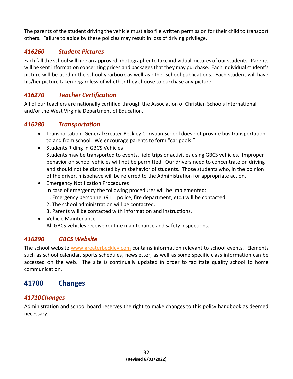The parents of the student driving the vehicle must also file written permission for their child to transport others. Failure to abide by these policies may result in loss of driving privilege.

### <span id="page-32-0"></span>*416260 Student Pictures*

Each fall the school will hire an approved photographer to take individual pictures of our students. Parents will be sent information concerning prices and packages that they may purchase. Each individual student's picture will be used in the school yearbook as well as other school publications. Each student will have his/her picture taken regardless of whether they choose to purchase any picture.

### <span id="page-32-1"></span>*416270 Teacher Certification*

All of our teachers are nationally certified through the Association of Christian Schools International and/or the West Virginia Department of Education.

### <span id="page-32-2"></span>*416280 Transportation*

- Transportation- General Greater Beckley Christian School does not provide bus transportation to and from school. We encourage parents to form "car pools."
- Students Riding in GBCS Vehicles Students may be transported to events, field trips or activities using GBCS vehicles. Improper behavior on school vehicles will not be permitted. Our drivers need to concentrate on driving and should not be distracted by misbehavior of students. Those students who, in the opinion of the driver, misbehave will be referred to the Administration for appropriate action.
- Emergency Notification Procedures In case of emergency the following procedures will be implemented:
	- 1. Emergency personnel (911, police, fire department, etc.) will be contacted.
	- 2. The school administration will be contacted.
	- 3. Parents will be contacted with information and instructions.
- Vehicle Maintenance All GBCS vehicles receive routine maintenance and safety inspections.

### <span id="page-32-3"></span>*416290 GBCS Website*

The school website [www.greaterbeckley.com](http://www.greaterbeckley.com/) contains information relevant to school events. Elements such as school calendar, sports schedules, newsletter, as well as some specific class information can be accessed on the web. The site is continually updated in order to facilitate quality school to home communication.

### <span id="page-32-4"></span>**41700 Changes**

### <span id="page-32-5"></span>*41710Changes*

Administration and school board reserves the right to make changes to this policy handbook as deemed necessary.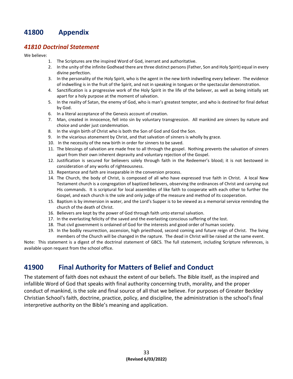### <span id="page-33-0"></span>**41800 Appendix**

#### <span id="page-33-1"></span>*41810 Doctrinal Statement*

We believe:

- 1. The Scriptures are the inspired Word of God, inerrant and authoritative.
- 2. In the unity of the infinite Godhead there are three distinct persons (Father, Son and Holy Spirit) equal in every divine perfection.
- 3. In the personality of the Holy Spirit, who is the agent in the new birth indwelling every believer. The evidence of indwelling is in the fruit of the Spirit, and not in speaking in tongues or the spectacular demonstration.
- 4. Sanctification is a progressive work of the Holy Spirit in the life of the believer, as well as being initially set apart for a holy purpose at the moment of salvation.
- 5. In the reality of Satan, the enemy of God, who is man's greatest tempter, and who is destined for final defeat by God.
- 6. In a literal acceptance of the Genesis account of creation.
- 7. Man, created in innocence, fell into sin by voluntary transgression. All mankind are sinners by nature and choice and under just condemnation.
- 8. In the virgin birth of Christ who is both the Son of God and God the Son.
- 9. In the vicarious atonement by Christ, and that salvation of sinners is wholly by grace.
- 10. In the necessity of the new birth in order for sinners to be saved.
- 11. The blessings of salvation are made free to all through the gospel. Nothing prevents the salvation of sinners apart from their own inherent depravity and voluntary rejection of the Gospel.
- 12. Justification is secured for believers solely through faith in the Redeemer's blood; it is not bestowed in consideration of any works of righteousness.
- 13. Repentance and faith are inseparable in the conversion process.
- 14. The Church, the body of Christ, is composed of all who have expressed true faith in Christ. A local New Testament church is a congregation of baptized believers, observing the ordinances of Christ and carrying out His commands. It is scriptural for local assemblies of like faith to cooperate with each other to further the Gospel, and each church is the sole and only judge of the measure and method of its cooperation.
- 15. Baptism is by immersion in water, and the Lord's Supper is to be viewed as a memorial service reminding the church of the death of Christ.
- 16. Believers are kept by the power of God through faith unto eternal salvation.
- 17. In the everlasting felicity of the saved and the everlasting conscious suffering of the lost.
- 18. That civil government is ordained of God for the interests and good order of human society.
- 19. In the bodily resurrection, ascension, high priesthood, second coming and future reign of Christ. The living members of the Church will be changed in the rapture. The dead in Christ will be raised at the same event.

Note: This statement is a digest of the doctrinal statement of GBCS. The full statement, including Scripture references, is available upon request from the school office.

### <span id="page-33-2"></span>**41900 Final Authority for Matters of Belief and Conduct**

The statement of faith does not exhaust the extent of our beliefs. The Bible itself, as the inspired and infallible Word of God that speaks with final authority concerning truth, morality, and the proper conduct of mankind, is the sole and final source of all that we believe. For purposes of Greater Beckley Christian School's faith, doctrine, practice, policy, and discipline, the administration is the school's final interpretive authority on the Bible's meaning and application.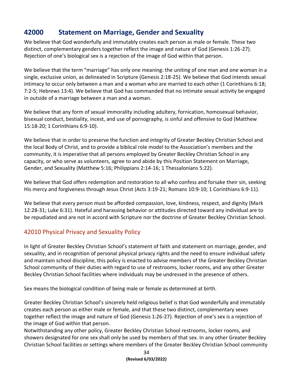### <span id="page-34-0"></span>**42000 Statement on Marriage, Gender and Sexuality**

We believe that God wonderfully and immutably creates each person as male or female. These two distinct, complementary genders together reflect the image and nature of God (Genesis 1:26-27). Rejection of one's biological sex is a rejection of the image of God within that person.

We believe that the term "marriage" has only one meaning: the uniting of one man and one woman in a single, exclusive union, as delineated in Scripture (Genesis 2:18-25). We believe that God intends sexual intimacy to occur only between a man and a woman who are married to each other (1 Corinthians 6:18; 7:2-5; Hebrews 13:4). We believe that God has commanded that no intimate sexual activity be engaged in outside of a marriage between a man and a woman.

We believe that any form of sexual immorality including adultery, fornication, homosexual behavior, bisexual conduct, bestiality, incest, and use of pornography, is sinful and offensive to God (Matthew 15:18-20; 1 Corinthians 6:9-10).

We believe that in order to preserve the function and integrity of Greater Beckley Christian School and the local Body of Christ, and to provide a biblical role model to the Association's members and the community, it is imperative that all persons employed by Greater Beckley Christian School in any capacity, or who serve as volunteers, agree to and abide by this Position Statement on Marriage, Gender, and Sexuality (Matthew 5:16; Philippians 2:14-16; 1 Thessalonians 5:22).

We believe that God offers redemption and restoration to all who confess and forsake their sin, seeking His mercy and forgiveness through Jesus Christ (Acts 3:19-21; Romans 10:9-10; 1 Corinthians 6:9-11).

We believe that every person must be afforded compassion, love, kindness, respect, and dignity (Mark 12:28-31; Luke 6:31). Hateful and harassing behavior or attitudes directed toward any individual are to be repudiated and are not in accord with Scripture nor the doctrine of Greater Beckley Christian School.

### 42010 Physical Privacy and Sexuality Policy

In light of Greater Beckley Christian School's statement of faith and statement on marriage, gender, and sexuality, and in recognition of personal physical privacy rights and the need to ensure individual safety and maintain school discipline, this policy is enacted to advise members of the Greater Beckley Christian School community of their duties with regard to use of restrooms, locker rooms, and any other Greater Beckley Christian School facilities where individuals may be undressed in the presence of others.

Sex means the biological condition of being male or female as determined at birth.

Greater Beckley Christian School's sincerely held religious belief is that God wonderfully and immutably creates each person as either male or female, and that these two distinct, complementary sexes together reflect the image and nature of God (Genesis 1:26-27). Rejection of one's sex is a rejection of the image of God within that person.

Notwithstanding any other policy, Greater Beckley Christian School restrooms, locker rooms, and showers designated for one sex shall only be used by members of that sex. In any other Greater Beckley Christian School facilities or settings where members of the Greater Beckley Christian School community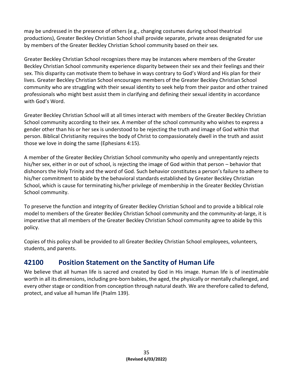may be undressed in the presence of others (e.g., changing costumes during school theatrical productions), Greater Beckley Christian School shall provide separate, private areas designated for use by members of the Greater Beckley Christian School community based on their sex.

Greater Beckley Christian School recognizes there may be instances where members of the Greater Beckley Christian School community experience disparity between their sex and their feelings and their sex. This disparity can motivate them to behave in ways contrary to God's Word and His plan for their lives. Greater Beckley Christian School encourages members of the Greater Beckley Christian School community who are struggling with their sexual identity to seek help from their pastor and other trained professionals who might best assist them in clarifying and defining their sexual identity in accordance with God's Word.

Greater Beckley Christian School will at all times interact with members of the Greater Beckley Christian School community according to their sex. A member of the school community who wishes to express a gender other than his or her sex is understood to be rejecting the truth and image of God within that person. Biblical Christianity requires the body of Christ to compassionately dwell in the truth and assist those we love in doing the same (Ephesians 4:15).

A member of the Greater Beckley Christian School community who openly and unrepentantly rejects his/her sex, either in or out of school, is rejecting the image of God within that person – behavior that dishonors the Holy Trinity and the word of God. Such behavior constitutes a person's failure to adhere to his/her commitment to abide by the behavioral standards established by Greater Beckley Christian School, which is cause for terminating his/her privilege of membership in the Greater Beckley Christian School community.

To preserve the function and integrity of Greater Beckley Christian School and to provide a biblical role model to members of the Greater Beckley Christian School community and the community-at-large, it is imperative that all members of the Greater Beckley Christian School community agree to abide by this policy.

Copies of this policy shall be provided to all Greater Beckley Christian School employees, volunteers, students, and parents.

### <span id="page-35-0"></span>**42100 Position Statement on the Sanctity of Human Life**

We believe that all human life is sacred and created by God in His image. Human life is of inestimable worth in all its dimensions, including pre-born babies, the aged, the physically or mentally challenged, and every other stage or condition from conception through natural death. We are therefore called to defend, protect, and value all human life (Psalm 139).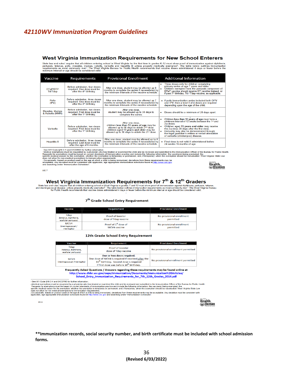#### <span id="page-36-0"></span>*42110WV Immunization Program Guidelines*

#### West Virginia Immunization Requirements for New School Enterers

State law and rules' require that all children entering school in West Virginia for the first time in grades K-12 must show proof of immunization against diphtheria,<br>pertussis, tetanus, polio, measles, mumps, rubella, vari

| Vaccine                                  | <b>Requirements</b>                                                                                | <b>Provisional Enrollment</b>                                                                                                                                                                                                 |           | <b>Additional Information</b>                                                                                                                                                                                                                                                                                                                                      |
|------------------------------------------|----------------------------------------------------------------------------------------------------|-------------------------------------------------------------------------------------------------------------------------------------------------------------------------------------------------------------------------------|-----------|--------------------------------------------------------------------------------------------------------------------------------------------------------------------------------------------------------------------------------------------------------------------------------------------------------------------------------------------------------------------|
| DTaP/DTP<br>Td/Tdap                      | Before admission, four doses<br>required. One dose must be<br>after the 4 <sup>th</sup> birthday.  | After one dose, student may be allowed up 8<br>months to complete the series if necessitated by<br>the minimum intervals of the vaccine schedule                                                                              | ۰         | Three doses only for children completing<br>primary series at age 7 years and older.<br>Children exempted from the pertussis component of<br>DTaP vaccine should receive DT vaccine instead, or<br>if past 7 <sup>th</sup> birthday, Td / Tdap vaccine, as applicable.                                                                                             |
| Polio<br>(IPV)                           | Before admission, three doses<br>required. One dose must be<br>after the 4 <sup>th</sup> birthday. | After one dose, student may be allowed up 7<br>months to complete the series if necessitated by<br>the minimum intervals of the vaccine schedule.                                                                             |           | . If polio immunization series included both OPV<br>and IPV, then a total 3 of 4 doses are required<br>depending upon the age of the child.                                                                                                                                                                                                                        |
| <b>Measles, Mumps</b><br>& Rubella (MMR) | Before admission, two doses<br>required. First dose must be<br>after the 1 <sup>st</sup> birthday. | After one dose<br>student may be allowed up to 30 days to<br>complete the series.                                                                                                                                             | $\bullet$ | Doses should be a minimum of 28 days apart.                                                                                                                                                                                                                                                                                                                        |
| <b>Varicella</b>                         | Before admission, two doses<br>required. First dose must be<br>after the 1 <sup>st</sup> birthday. | After one dose.<br>children less than 13 years of age may be<br>allowed up to 90 days to obtain 2 <sup>nd</sup> dose;<br>children aged 13 years and older may be<br>allowed up to 30 days to obtain the 2 <sup>nd</sup> dose. |           | Children less than 13 years of age must have a<br>minimum interval of 12 weeks between the 1st and<br>2 <sub>nd</sub> doses<br>Children aged 13 years and older may receive<br>the 2nd dose 28 days after the first dose.<br>Immunity may also be demonstrated through<br>the legal guardian's written or verbal attestation<br>of varicella (chickenpox) disease. |
| <b>Hepatitis B</b>                       | Before admission, three doses<br>required. Last dose must be<br>after the age of 6 months.         | After one dose, student may be allowed up to 4<br>months to complete the series if necessitated by<br>the minimum intervals of the vaccine schedule.                                                                          |           | Final dose is not valid if administered before<br>24 weeks / 6 months of age.                                                                                                                                                                                                                                                                                      |

See WV Code \$16-3-4 and 64CSR95 for further information.<br>
Medical exemptions must be requested by a physician who has treated or examined the child and be reviewed and submitted to the Immunization Officer of the Bureau fo

 $0817$ 

West Virginia Immunization Requirements for 7<sup>th</sup> & 12<sup>th</sup> Graders<br>State law and rules' require that all children entering school in West Virginia in grades 7 and 12 must show proof of immunization against diphtheria, pert

#### 7<sup>th</sup> Grade School Entry Requirement

| Vaccine                                               | Requirement                                      | <b>Provisional Enrollment</b>          |
|-------------------------------------------------------|--------------------------------------------------|----------------------------------------|
| Tdap<br>(tetanus, diphtheria,<br>acellular pertussis) | <b>Proof of booster</b><br>dose of Tdap vaccine  | No provisional enrollment<br>permitted |
| MCV4<br>(meningococcal /<br>meningitis)               | Proof of 1 <sup>st</sup> dose of<br>MCV4 vaccine | No provisional enrollment<br>permitted |

#### 12th Grade School Entry Requirement

| Vaccine                                               | <b>Requirement</b>                                                                                                                                                                            | <b>Provisional Enrollment</b>       |
|-------------------------------------------------------|-----------------------------------------------------------------------------------------------------------------------------------------------------------------------------------------------|-------------------------------------|
| Tdap<br>(tetanus, diphtheria,<br>acellular pertussis) | <b>Proof of booster</b><br>dose of Tdap vaccine                                                                                                                                               | No provisional enrollment permitted |
| MCV4<br>(meningococcal /meningitis)                   | One or two doses required.<br>One dose of MCV4 is required if received after the<br>16 <sup>th</sup> birthday. Second dose is required<br>if first dose was before 16 <sup>th</sup> birthday. | No provisional enrollment permitted |

Frequently Asked Questions / Answers regarding these requirements may be found online at http://www.dhhr.wv.gov/oeps/immunization/Documents/Immunization%20/ Articles/ School\_Entry\_Immunization\_Requirements\_for\_7th\_12th\_Grades\_2014.pdf

.<br>See WV Code 816-3-4 and 64CSR95 for further information

. See WV Code §16-3-4 and 64GSR95 for further information.<br>In Medical exemptions must be requested by a physician who has treated or examined the child and be reviewed and submitted to the Immunization Officer of the Burea



**Health**<br> **Muman** 

 $0516$ 

**\*\*Immunization records, social security number, and birth certificate must be included with school admission forms.**